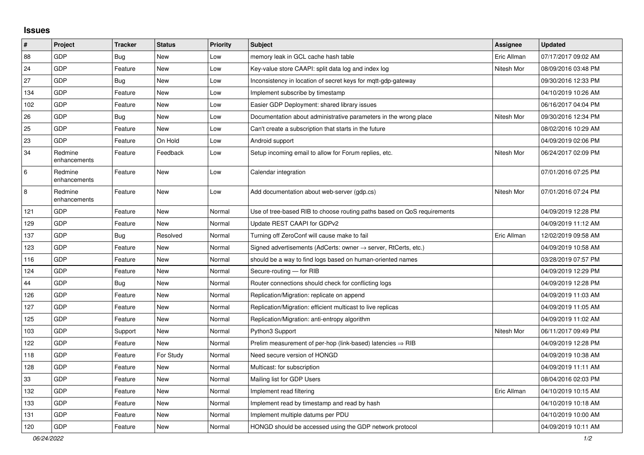## **Issues**

| #      | Project                 | <b>Tracker</b> | <b>Status</b> | Priority | <b>Subject</b>                                                             | <b>Assignee</b> | <b>Updated</b>      |
|--------|-------------------------|----------------|---------------|----------|----------------------------------------------------------------------------|-----------------|---------------------|
| 88     | <b>GDP</b>              | Bug            | <b>New</b>    | Low      | memory leak in GCL cache hash table                                        | Eric Allman     | 07/17/2017 09:02 AM |
| 24     | GDP                     | Feature        | <b>New</b>    | Low      | Key-value store CAAPI: split data log and index log                        | Nitesh Mor      | 08/09/2016 03:48 PM |
| 27     | <b>GDP</b>              | <b>Bug</b>     | <b>New</b>    | Low      | Inconsistency in location of secret keys for mqtt-gdp-gateway              |                 | 09/30/2016 12:33 PM |
| 134    | <b>GDP</b>              | Feature        | <b>New</b>    | Low      | Implement subscribe by timestamp                                           |                 | 04/10/2019 10:26 AM |
| 102    | <b>GDP</b>              | Feature        | <b>New</b>    | Low      | Easier GDP Deployment: shared library issues                               |                 | 06/16/2017 04:04 PM |
| 26     | <b>GDP</b>              | <b>Bug</b>     | <b>New</b>    | Low      | Documentation about administrative parameters in the wrong place           | Nitesh Mor      | 09/30/2016 12:34 PM |
| 25     | <b>GDP</b>              | Feature        | <b>New</b>    | Low      | Can't create a subscription that starts in the future                      |                 | 08/02/2016 10:29 AM |
| 23     | <b>GDP</b>              | Feature        | On Hold       | Low      | Android support                                                            |                 | 04/09/2019 02:06 PM |
| 34     | Redmine<br>enhancements | Feature        | Feedback      | Low      | Setup incoming email to allow for Forum replies, etc.                      | Nitesh Mor      | 06/24/2017 02:09 PM |
| 6      | Redmine<br>enhancements | Feature        | <b>New</b>    | Low      | Calendar integration                                                       |                 | 07/01/2016 07:25 PM |
| 8      | Redmine<br>enhancements | Feature        | <b>New</b>    | Low      | Add documentation about web-server (gdp.cs)                                | Nitesh Mor      | 07/01/2016 07:24 PM |
| 121    | <b>GDP</b>              | Feature        | <b>New</b>    | Normal   | Use of tree-based RIB to choose routing paths based on QoS requirements    |                 | 04/09/2019 12:28 PM |
| 129    | GDP                     | Feature        | <b>New</b>    | Normal   | Update REST CAAPI for GDPv2                                                |                 | 04/09/2019 11:12 AM |
| 137    | <b>GDP</b>              | Bug            | Resolved      | Normal   | Turning off ZeroConf will cause make to fail                               | Eric Allman     | 12/02/2019 09:58 AM |
| 123    | GDP                     | Feature        | <b>New</b>    | Normal   | Signed advertisements (AdCerts: owner $\rightarrow$ server, RtCerts, etc.) |                 | 04/09/2019 10:58 AM |
| 116    | <b>GDP</b>              | Feature        | <b>New</b>    | Normal   | should be a way to find logs based on human-oriented names                 |                 | 03/28/2019 07:57 PM |
| 124    | <b>GDP</b>              | Feature        | <b>New</b>    | Normal   | Secure-routing - for RIB                                                   |                 | 04/09/2019 12:29 PM |
| 44     | <b>GDP</b>              | <b>Bug</b>     | <b>New</b>    | Normal   | Router connections should check for conflicting logs                       |                 | 04/09/2019 12:28 PM |
| 126    | <b>GDP</b>              | Feature        | <b>New</b>    | Normal   | Replication/Migration: replicate on append                                 |                 | 04/09/2019 11:03 AM |
| 127    | <b>GDP</b>              | Feature        | <b>New</b>    | Normal   | Replication/Migration: efficient multicast to live replicas                |                 | 04/09/2019 11:05 AM |
| 125    | <b>GDP</b>              | Feature        | <b>New</b>    | Normal   | Replication/Migration: anti-entropy algorithm                              |                 | 04/09/2019 11:02 AM |
| 103    | <b>GDP</b>              | Support        | <b>New</b>    | Normal   | Python3 Support                                                            | Nitesh Mor      | 06/11/2017 09:49 PM |
| 122    | <b>GDP</b>              | Feature        | <b>New</b>    | Normal   | Prelim measurement of per-hop (link-based) latencies $\Rightarrow$ RIB     |                 | 04/09/2019 12:28 PM |
| 118    | <b>GDP</b>              | Feature        | For Study     | Normal   | Need secure version of HONGD                                               |                 | 04/09/2019 10:38 AM |
| 128    | <b>GDP</b>              | Feature        | <b>New</b>    | Normal   | Multicast: for subscription                                                |                 | 04/09/2019 11:11 AM |
| $33\,$ | GDP                     | Feature        | <b>New</b>    | Normal   | Mailing list for GDP Users                                                 |                 | 08/04/2016 02:03 PM |
| 132    | <b>GDP</b>              | Feature        | <b>New</b>    | Normal   | Implement read filtering                                                   | Eric Allman     | 04/10/2019 10:15 AM |
| 133    | <b>GDP</b>              | Feature        | <b>New</b>    | Normal   | Implement read by timestamp and read by hash                               |                 | 04/10/2019 10:18 AM |
| 131    | GDP                     | Feature        | <b>New</b>    | Normal   | Implement multiple datums per PDU                                          |                 | 04/10/2019 10:00 AM |
| 120    | <b>GDP</b>              | Feature        | <b>New</b>    | Normal   | HONGD should be accessed using the GDP network protocol                    |                 | 04/09/2019 10:11 AM |